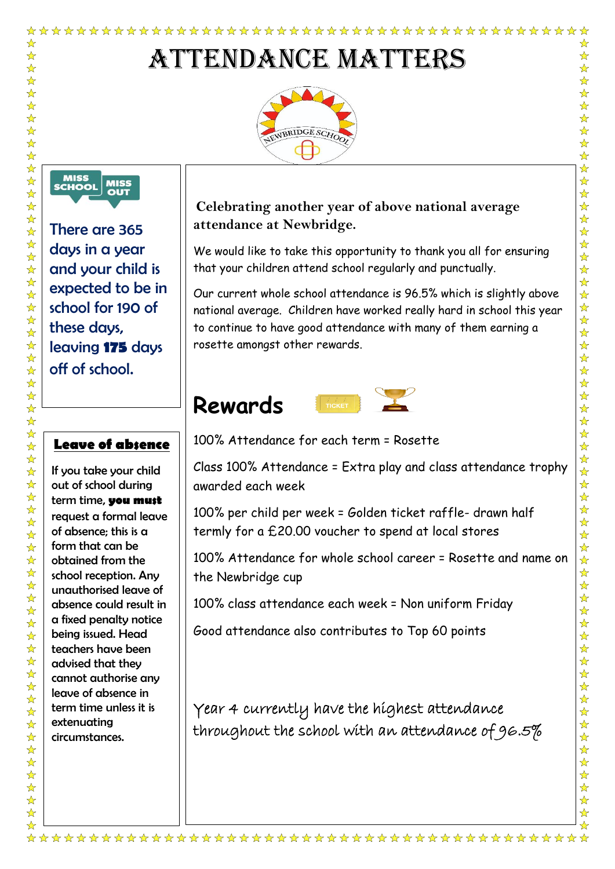# Attendance Matters





There are 365 days in a year and your child is expected to be in school for 190 of these days, leaving **175** days off of school.

#### **Leave of absence**

If you take your child out of school during term time, **you must** request a formal leave of absence; this is a form that can be obtained from the school reception. Any unauthorised leave of absence could result in a fixed penalty notice being issued. Head teachers have been advised that they cannot authorise any leave of absence in term time unless it is extenuating circumstances.

### **Celebrating another year of above national average attendance at Newbridge.**

We would like to take this opportunity to thank you all for ensuring that your children attend school regularly and punctually.

☆

 $\frac{1}{\mathbf{k}^{\prime}}$ 

 $\frac{1}{\mathbf{k}^{\prime}}$ 

 $\frac{1}{\mathbf{k}^{\prime}}$ 

 $\frac{\lambda}{\lambda}$ 

 $\frac{1}{\sqrt{2}}$ 

公众公众公

 $\frac{1}{\mathbf{k}}$ 

55年

 $\frac{1}{\mathbf{k}}$  $\frac{1}{\sqrt{2}}$ 

 $\frac{1}{\mathbf{k}}$ 

 $\frac{1}{N}$ 

 $\frac{1}{\mathbf{k}}$ 5个好?

 $\frac{1}{\sqrt{2}}$ 

 $\frac{1}{\mathbf{k}}$ 

琴琴琴

琴琴2

☆☆☆☆☆☆☆☆☆☆☆☆

 $\frac{1}{\mathbf{k}^{\prime}}$  $\frac{1}{2}$ 

 $\frac{1}{\mathcal{N}}$ 

☆

 $\frac{1}{\sqrt{2}}$ 

 $\frac{1}{\mathbf{k}}$  $\frac{1}{\sqrt{2}}$ 

 $\frac{1}{\sqrt{2}}$ 

 $\frac{1}{\mathbf{k}}$ 

华琴琴

2222222

 $\frac{1}{\mathcal{N}}$ 

Our current whole school attendance is 96.5% which is slightly above national average. Children have worked really hard in school this year to continue to have good attendance with many of them earning a rosette amongst other rewards.

# **Rewards**



100% Attendance for each term = Rosette

Class 100% Attendance = Extra play and class attendance trophy awarded each week

100% per child per week = Golden ticket raffle- drawn half termly for a £20.00 voucher to spend at local stores

100% Attendance for whole school career = Rosette and name on the Newbridge cup

100% class attendance each week = Non uniform Friday

Good attendance also contributes to Top 60 points

Year 4 currently have the highest attendance throughout the school with an attendance of 96.5%

☆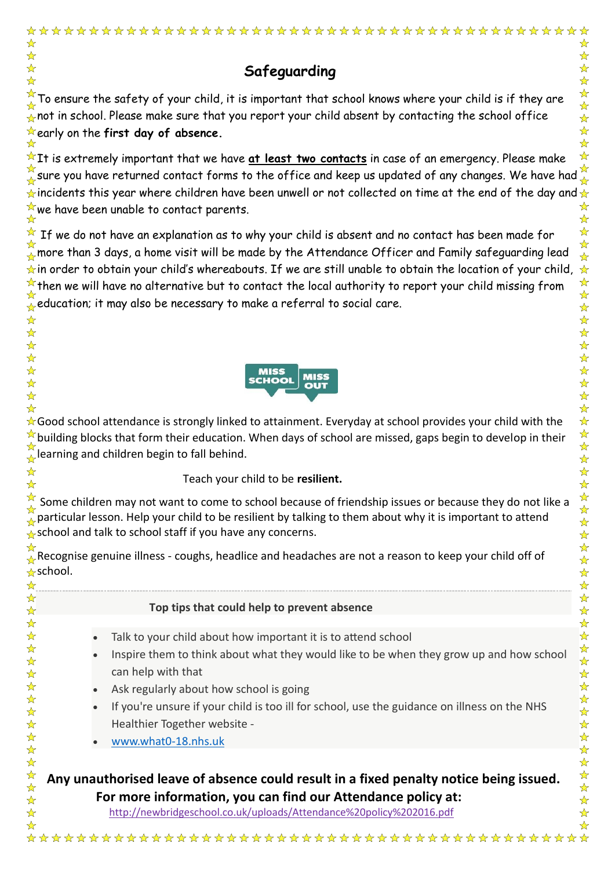|                                                                                                                                                                                                                                                                                                                                                                                                                                                                                                        | ☆                                                                                                                                                                              |
|--------------------------------------------------------------------------------------------------------------------------------------------------------------------------------------------------------------------------------------------------------------------------------------------------------------------------------------------------------------------------------------------------------------------------------------------------------------------------------------------------------|--------------------------------------------------------------------------------------------------------------------------------------------------------------------------------|
| Safeguarding                                                                                                                                                                                                                                                                                                                                                                                                                                                                                           | ☆<br>$\frac{1}{\sqrt{2}}$<br>$\frac{1}{\mathcal{N}}$                                                                                                                           |
| To ensure the safety of your child, it is important that school knows where your child is if they are<br>not in school. Please make sure that you report your child absent by contacting the school office<br>early on the first day of absence.                                                                                                                                                                                                                                                       | $\frac{1}{\mathcal{N}}$<br>$\frac{1}{\mathbf{k}^{\prime}}$<br>☆<br>$\frac{1}{\sqrt{2}}$<br>$\frac{1}{\sqrt{2}}$                                                                |
| It is extremely important that we have <u>at least two contacts</u> in case of an emergency. Please make<br>sure you have returned contact forms to the office and keep us updated of any changes. We have had $\frac{1}{\sqrt{2}}$<br>incidents this year where children have been unwell or not collected on time at the end of the day and $\star$<br>we have been unable to contact parents.                                                                                                       | $\frac{1}{\mathcal{N}}$<br>☆<br>☆                                                                                                                                              |
| If we do not have an explanation as to why your child is absent and no contact has been made for<br>more than 3 days, a home visit will be made by the Attendance Officer and Family safeguarding lead<br>in order to obtain your child's whereabouts. If we are still unable to obtain the location of your child,<br>then we will have no alternative but to contact the local authority to report your child missing from<br>education; it may also be necessary to make a referral to social care. | $\frac{1}{\mathbf{k}^2}$<br>$\frac{1}{\mathcal{N}}$<br>$\frac{1}{2}$<br>☆<br>卒<br>$\frac{1}{\sqrt{2}}$<br>$\frac{1}{\mathcal{N}}$<br>☆<br>☆<br>☆                               |
| MISS<br><b>MISS</b><br><b>SCHOOL</b><br><b>OUT</b>                                                                                                                                                                                                                                                                                                                                                                                                                                                     | ☆<br>$\frac{1}{\sqrt{2}}$<br>☆<br>$\frac{1}{\sqrt{2}}$                                                                                                                         |
| Good school attendance is strongly linked to attainment. Everyday at school provides your child with the<br>building blocks that form their education. When days of school are missed, gaps begin to develop in their<br>learning and children begin to fall behind.                                                                                                                                                                                                                                   | ☆<br>☆<br>$\frac{1}{\mathbf{k}}$<br>$\frac{1}{\mathbf{k}^{\prime}}$                                                                                                            |
| Teach your child to be resilient.                                                                                                                                                                                                                                                                                                                                                                                                                                                                      | ☆<br>☆                                                                                                                                                                         |
| Some children may not want to come to school because of friendship issues or because they do not like a<br>particular lesson. Help your child to be resilient by talking to them about why it is important to attend<br>school and talk to school staff if you have any concerns.                                                                                                                                                                                                                      | $\frac{1}{2}$<br>$\frac{1}{\sqrt{2}}$<br>$\frac{\lambda}{\lambda}$<br>$\frac{1}{\sqrt{2}}$                                                                                     |
| Recognise genuine illness - coughs, headlice and headaches are not a reason to keep your child off of<br>school.                                                                                                                                                                                                                                                                                                                                                                                       | $\frac{\lambda}{\lambda}$<br>$\frac{1}{\sqrt{2}}$<br>$\frac{1}{\sqrt{2}}$<br>$\frac{1}{\mathbf{k}}$                                                                            |
| Top tips that could help to prevent absence                                                                                                                                                                                                                                                                                                                                                                                                                                                            | ☆<br>☆                                                                                                                                                                         |
| Talk to your child about how important it is to attend school<br>Inspire them to think about what they would like to be when they grow up and how school<br>$\bullet$<br>can help with that<br>Ask regularly about how school is going<br>$\bullet$<br>If you're unsure if your child is too ill for school, use the guidance on illness on the NHS<br>Healthier Together website -                                                                                                                    | $\frac{1}{\sqrt{2}}$<br>$\frac{1}{\sqrt{2}}$<br>冷冷<br>$\frac{1}{\mathbf{k}}$<br>$\frac{1}{N}$<br>$\frac{1}{\mathbf{k}}$<br>$\frac{1}{\mathbf{k}}$<br>$\frac{\lambda}{\lambda}$ |
| www.what0-18.nhs.uk                                                                                                                                                                                                                                                                                                                                                                                                                                                                                    | $\frac{1}{\sqrt{2}}$                                                                                                                                                           |

 **Any unauthorised leave of absence could result in a fixed penalty notice being issued. For more information, you can find our Attendance policy at:**

http://newbridgeschool.co.uk/uploads/Attendance%20policy%202016.pdf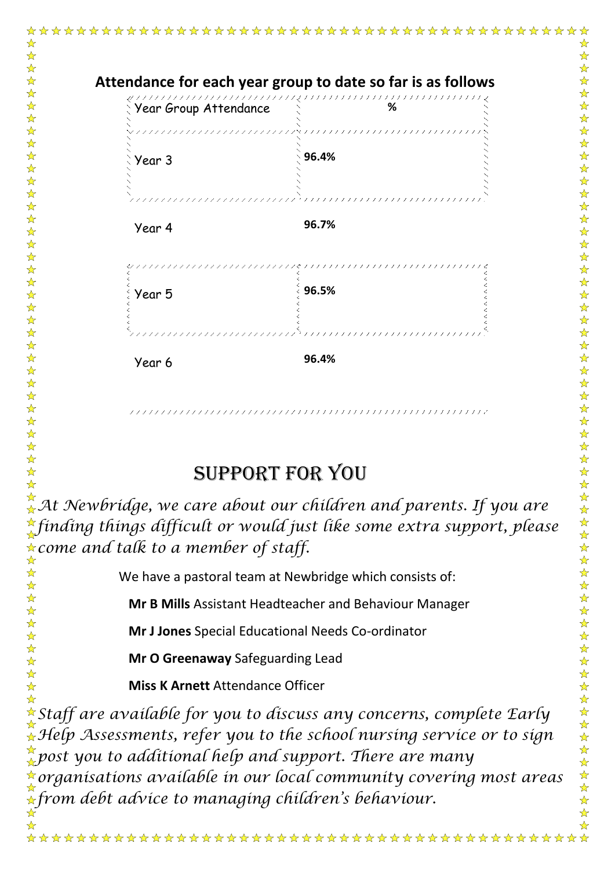

## Support for you

*At Newbridge, we care about our children and parents. If you are finding things difficult or would just like some extra support, please come and talk to a member of staff.* ☆

We have a pastoral team at Newbridge which consists of:

**Mr B Mills** Assistant Headteacher and Behaviour Manager

 **Mr J Jones** Special Educational Needs Co-ordinator

 **Mr O Greenaway** Safeguarding Lead

 **Miss K Arnett** Attendance Officer

 $\mathbf{r}$ 

 $\mathbf{\hat{x}}$  $\frac{1}{\mathbf{k}^2}$  $\frac{1}{2}$  $\frac{1}{\sqrt{2}}$  $\frac{1}{2}$ 

 $\mathbf{r}$ 

 $\frac{1}{2}$  $\frac{1}{\sqrt{2}}$  $\frac{1}{\sqrt{2}}$ 

*Staff are available for you to discuss any concerns, complete Early Help Assessments, refer you to the school nursing service or to sign post you to additional help and support. There are many organisations available in our local community covering most areas from debt advice to managing children's behaviour.*